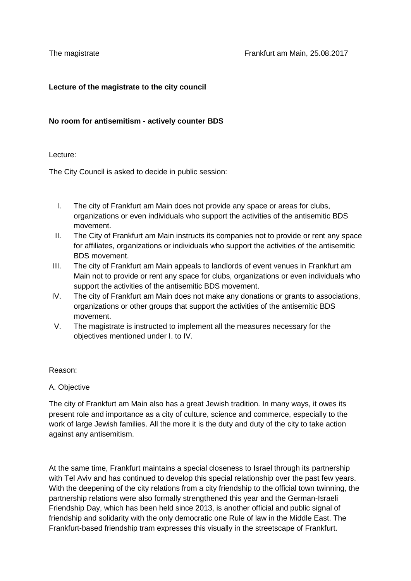## **Lecture of the magistrate to the city council**

## **No room for antisemitism - actively counter BDS**

#### Lecture:

The City Council is asked to decide in public session:

- I. The city of Frankfurt am Main does not provide any space or areas for clubs, organizations or even individuals who support the activities of the antisemitic BDS movement.
- II. The City of Frankfurt am Main instructs its companies not to provide or rent any space for affiliates, organizations or individuals who support the activities of the antisemitic BDS movement.
- III. The city of Frankfurt am Main appeals to landlords of event venues in Frankfurt am Main not to provide or rent any space for clubs, organizations or even individuals who support the activities of the antisemitic BDS movement.
- IV. The city of Frankfurt am Main does not make any donations or grants to associations, organizations or other groups that support the activities of the antisemitic BDS movement.
- V. The magistrate is instructed to implement all the measures necessary for the objectives mentioned under I. to IV.

## Reason:

A. Objective

The city of Frankfurt am Main also has a great Jewish tradition. In many ways, it owes its present role and importance as a city of culture, science and commerce, especially to the work of large Jewish families. All the more it is the duty and duty of the city to take action against any antisemitism.

At the same time, Frankfurt maintains a special closeness to Israel through its partnership with Tel Aviv and has continued to develop this special relationship over the past few years. With the deepening of the city relations from a city friendship to the official town twinning, the partnership relations were also formally strengthened this year and the German-Israeli Friendship Day, which has been held since 2013, is another official and public signal of friendship and solidarity with the only democratic one Rule of law in the Middle East. The Frankfurt-based friendship tram expresses this visually in the streetscape of Frankfurt.